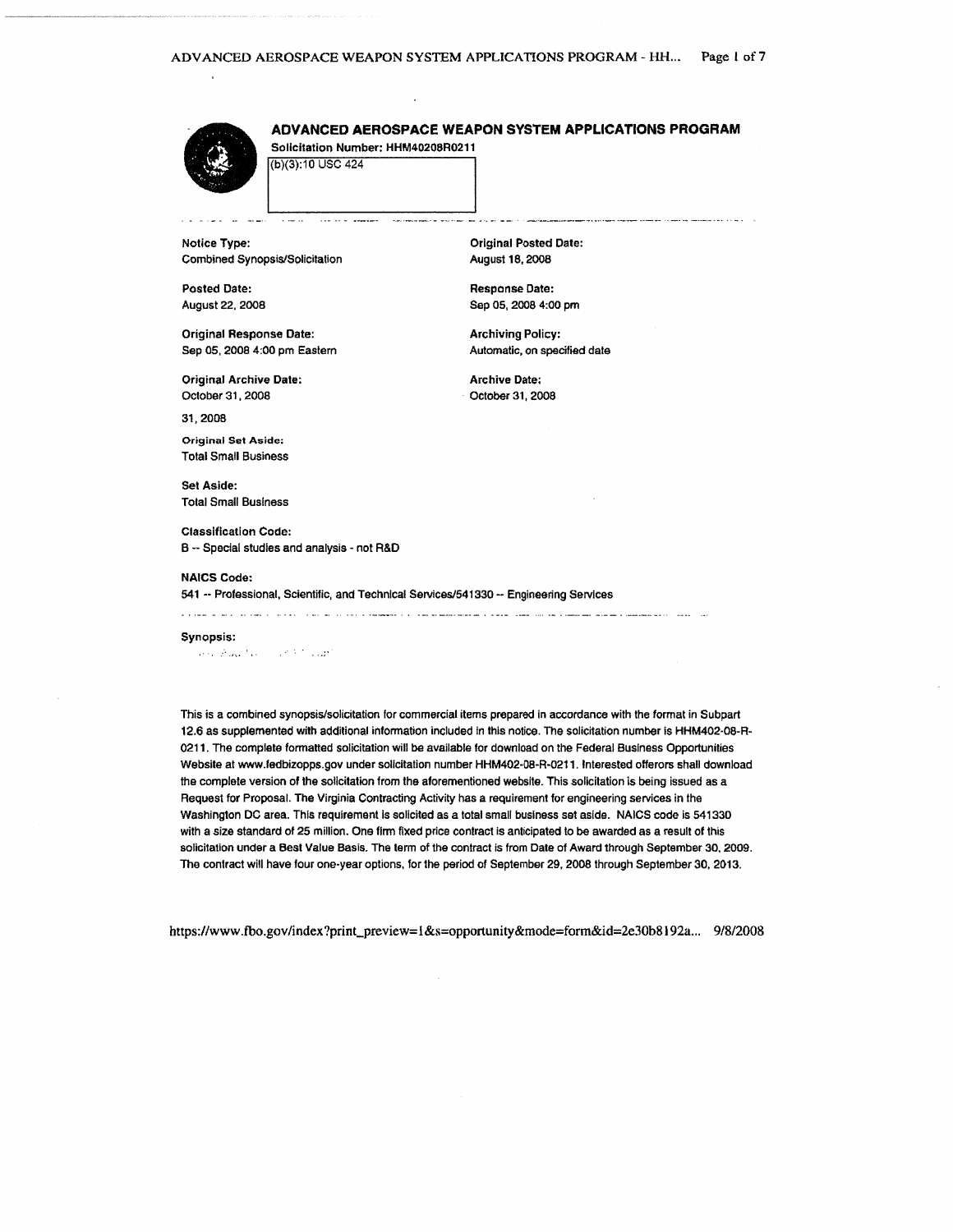# ADVANCED AEROSPACE WEAPON SYSTEM APPLICATIONS PROGRAM

Solicitation Number: HHM40208R0211 (b)(3):10 USC 424

 $\cdots$ 

**Notice Type:** Combined Synopsis/Solicitation

 $\mathcal{L} = \mathcal{L}$ 

**Posted Date:** August 22, 2008

**Original Response Date:** Sep 05, 2008 4:00 pm Eastern

Original Archive Date: October 31, 2008

31, 2008

**Original Set Aside: Total Small Business** 

**Set Aside: Total Small Business** 

**Classification Code:** B -- Special studies and analysis - not R&D

### **NAICS Code:**

541 -- Professional, Scientific, and Technical Services/541330 -- Engineering Services

<u>. 1966 - 2016 - 2016 - 2016 - 2016 - 2016 - 2016 - 2016 - 2016 - 2016 - 2016 - 2016 - 2016 - 2016 - 2016 - 2016 - 20</u>

#### Synopsis:

Service Prague Advisory Control 2002

This is a combined synopsis/solicitation for commercial items prepared in accordance with the format in Subpart 12.6 as supplemented with additional information included in this notice. The solicitation number is HHM402-08-R-0211. The complete formatted solicitation will be available for download on the Federal Business Opportunities Website at www.fedbizopps.gov under solicitation number HHM402-08-R-0211. Interested offerors shall download the complete version of the solicitation from the aforementioned website. This solicitation is being issued as a Request for Proposal. The Virginia Contracting Activity has a requirement for engineering services in the Washington DC area. This requirement is solicited as a total small business set aside. NAICS code is 541330 with a size standard of 25 million. One firm fixed price contract is anticipated to be awarded as a result of this solicitation under a Best Value Basis. The term of the contract is from Date of Award through September 30, 2009. The contract will have four one-year options, for the period of September 29, 2008 through September 30, 2013.

https://www.fbo.gov/index?print\_preview=1&s=opportunity&mode=form&id=2e30b8192a... 9/8/2008

**Orlainal Posted Date:** August 18, 2008

.<br>Antini a a que a approximando de componente de las componentes de la constitución de la contrata de la contrat

Response Date: Sep 05, 2008 4:00 pm

**Archiving Policy:** Automatic, on specified date

**Archive Date:** October 31, 2008

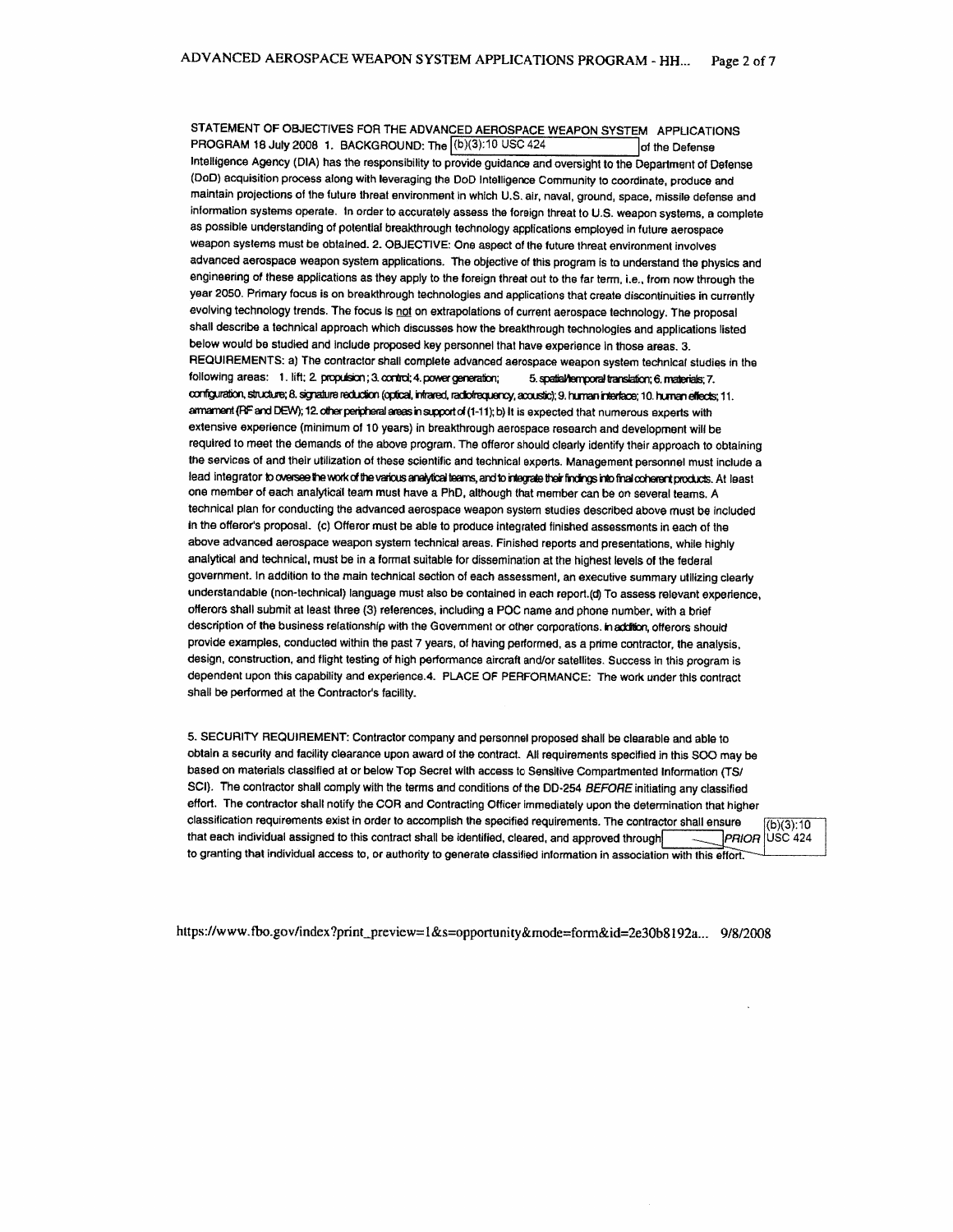STATEMENT OF OBJECTIVES FOR THE ADVANCED AEROSPACE WEAPON SYSTEM APPLICATIONS PROGRAM 18 July 2008 1. BACKGROUND: The (b)(3):10 USC 424 of the Defense Intelligence Agency (DIA) has the responsibility to provide guidance and oversight to the Department of Defense (DoD) acquisition process along with leveraging the DoD Intelligence Community to coordinate, produce and maintain projections of the future threat environment in which U.S. air, naval, ground, space, missile defense and information systems operate. In order to accurately assess the foreign threat to U.S. weapon systems, a complete as possible understanding of potential breakthrough technology applications employed in future aerospace weapon systems must be obtained. 2. OBJECTIVE: One aspect of the future threat environment involves advanced aerospace weapon system applications. The objective of this program is to understand the physics and engineering of these applications as they apply to the foreign threat out to the far term, i.e., from now through the year 2050. Primary focus is on breakthrough technologies and applications that create discontinuities in currently evolving technology trends. The focus is not on extrapolations of current aerospace technology. The proposal shall describe a technical approach which discusses how the breakthrough technologies and applications listed below would be studied and include proposed key personnel that have experience in those areas. 3. REQUIREMENTS: a) The contractor shall complete advanced aerospace weapon system technical studies in the following areas: 1. lift; 2. propulsion; 3. control; 4. power generation; 5. spatial/temporal translation; 6. materials; 7. configuration, structure; 8. signature reduction (optical, intrared, radiofrequency, acoustic); 9. human interface; 10. human effects; 11. armament (RF and DEW); 12. other peripheral areas in support of (1-11); b) It is expected that numerous experts with extensive experience (minimum of 10 years) in breakthrough aerospace research and development will be required to meet the demands of the above program. The offeror should clearly identify their approach to obtaining the services of and their utilization of these scientific and technical experts. Management personnel must include a lead integrator to oversee the work of the various analytical teams, and to integrate their findings into final coherent products. At least one member of each analytical team must have a PhD, although that member can be on several teams. A technical plan for conducting the advanced aerospace weapon system studies described above must be included in the offeror's proposal. (c) Offeror must be able to produce integrated finished assessments in each of the above advanced aerospace weapon system technical areas. Finished reports and presentations, while highly analytical and technical, must be in a format suitable for dissemination at the highest levels of the federal government. In addition to the main technical section of each assessment, an executive summary utilizing clearly understandable (non-technical) language must also be contained in each report.(d) To assess relevant experience, offerors shall submit at least three (3) references, including a POC name and phone number, with a brief description of the business relationship with the Government or other corporations. In addition, offerors should provide examples, conducted within the past 7 years, of having performed, as a prime contractor, the analysis, design, construction, and flight testing of high performance aircraft and/or satellites. Success in this program is dependent upon this capability and experience.4. PLACE OF PERFORMANCE: The work under this contract shall be performed at the Contractor's facility.

5. SECURITY REQUIREMENT: Contractor company and personnel proposed shall be clearable and able to obtain a security and facility clearance upon award of the contract. All requirements specified in this SOO may be based on materials classified at or below Top Secret with access to Sensitive Compartmented Information (TS/ SCI). The contractor shall comply with the terms and conditions of the DD-254 BEFORE initiating any classified effort. The contractor shall notify the COR and Contracting Officer immediately upon the determination that higher classification requirements exist in order to accomplish the specified requirements. The contractor shall ensure  $(b)(3):10$ that each individual assigned to this contract shall be identified, cleared, and approved through  $\overbrace{\hspace{15em}}$ PRIOR **USC 424** to granting that individual access to, or authority to generate classified information in association with this effort.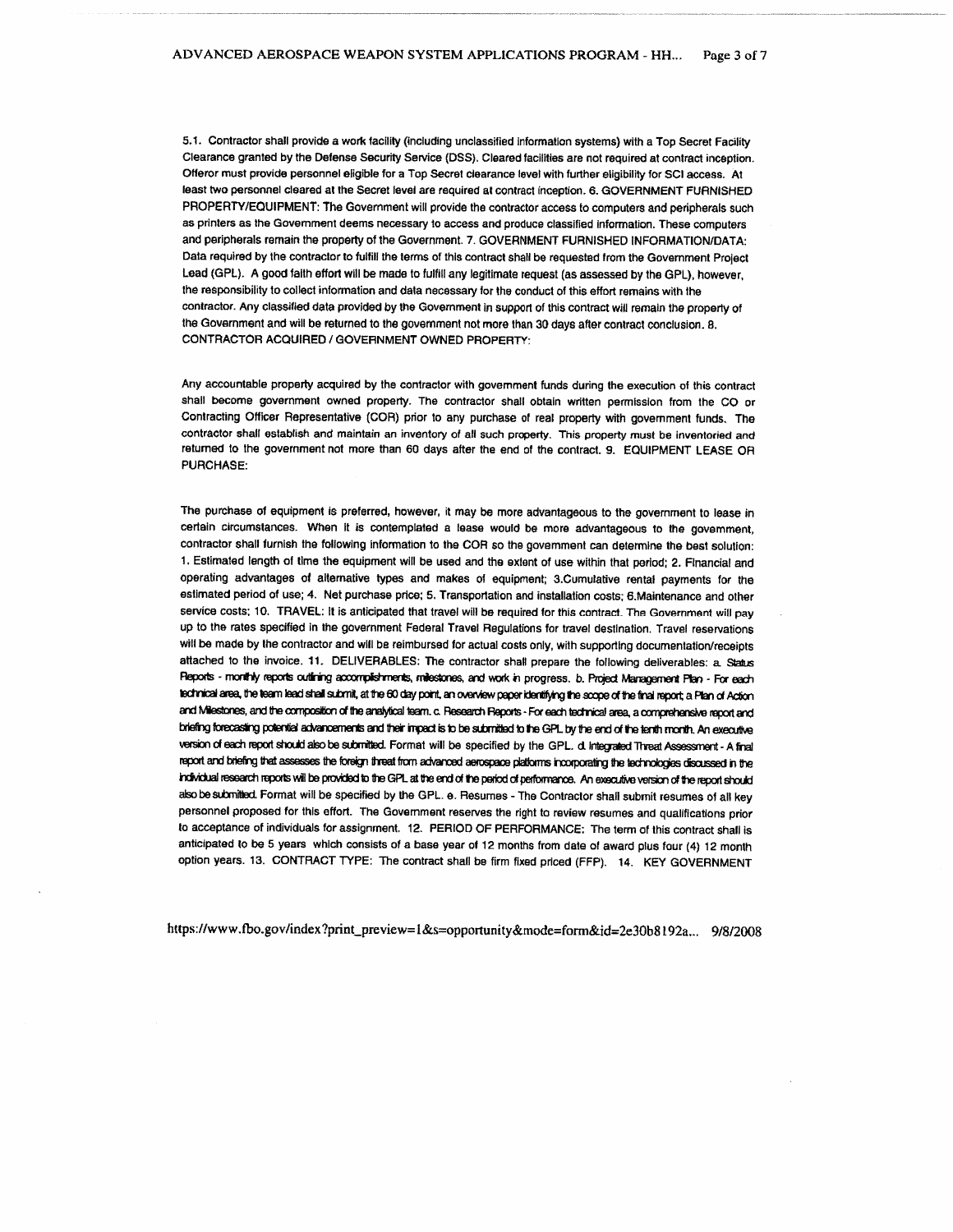5.1. Contractor shall provide a work facility (including unclassified information systems) with a Top Secret Facility Clearance granted by the Defense Security Service (DSS). Cleared facilities are not required at contract inception. Offeror must provide personnel eligible for a Top Secret clearance level with further eligibility for SCI access. At least two personnel cleared at the Secret level are required at contract inception. 6. GOVERNMENT FURNISHED PROPERTY/EQUIPMENT: The Government will provide the contractor access to computers and peripherals such as printers as the Government deems necessary to access and produce classified information. These computers and peripherals remain the property of the Government. 7. GOVERNMENT FURNISHED INFORMATION/DATA: Data required by the contractor to fulfill the terms of this contract shall be requested from the Government Project Lead (GPL). A good faith effort will be made to fulfill any legitimate request (as assessed by the GPL), however, the responsibility to collect information and data necessary for the conduct of this effort remains with the contractor. Any classified data provided by the Government in support of this contract will remain the property of the Government and will be returned to the government not more than 30 days after contract conclusion. 8. CONTRACTOR ACQUIRED / GOVERNMENT OWNED PROPERTY:

Any accountable property acquired by the contractor with government funds during the execution of this contract shall become government owned property. The contractor shall obtain written permission from the CO or Contracting Officer Representative (COR) prior to any purchase of real property with government funds. The contractor shall establish and maintain an inventory of all such property. This property must be inventoried and returned to the government not more than 60 days after the end of the contract. 9. EQUIPMENT LEASE OR PURCHASE:

The purchase of equipment is preferred, however, it may be more advantageous to the government to lease in certain circumstances. When it is contemplated a lease would be more advantageous to the govemment, contractor shall furnish the following information to the COR so the government can determine the best solution: 1. Estimated length of time the equipment will be used and the extent of use within that period; 2. Financial and operating advantages of alternative types and makes of equipment; 3.Cumulative rental payments for the estimated period of use; 4. Net purchase price; 5. Transportation and installation costs; 6. Maintenance and other service costs; 10. TRAVEL: It is anticipated that travel will be required for this contract. The Government will pay up to the rates specified in the government Federal Travel Regulations for travel destination. Travel reservations will be made by the contractor and will be reimbursed for actual costs only, with supporting documentation/receipts attached to the invoice. 11. DELIVERABLES: The contractor shall prepare the following deliverables; a Status Reports - monthly reports outlining accomplishments, milestones, and work in progress. b. Project Management Plan - For each technical area, the team lead shall submit, at the 60 day point, an overview paper identifying the scope of the final report; a Plan of Action and Milestones, and the composition of the analytical team. c. Research Reports - For each technical area, a comprehensive report and briefing forecasting potential advancements and their impact is to be submitted to the GPL by the end of the tenth month. An executive version of each report should also be submitted. Format will be specified by the GPL. d Integrated Threat Assessment - A final report and briefing that assesses the foreign threat from advanced aerospace platforms incorporating the technologies discussed in the individual research reports will be provided to the GPL at the end of the period of performance. An executive version of the report should also be submitted. Format will be specified by the GPL. e. Resumes - The Contractor shall submit resumes of all key personnel proposed for this effort. The Government reserves the right to review resumes and qualifications prior to acceptance of individuals for assignment. 12. PERIOD OF PERFORMANCE: The term of this contract shall is anticipated to be 5 years which consists of a base year of 12 months from date of award plus four (4) 12 month option years. 13. CONTRACT TYPE: The contract shall be firm fixed priced (FFP). 14. KEY GOVERNMENT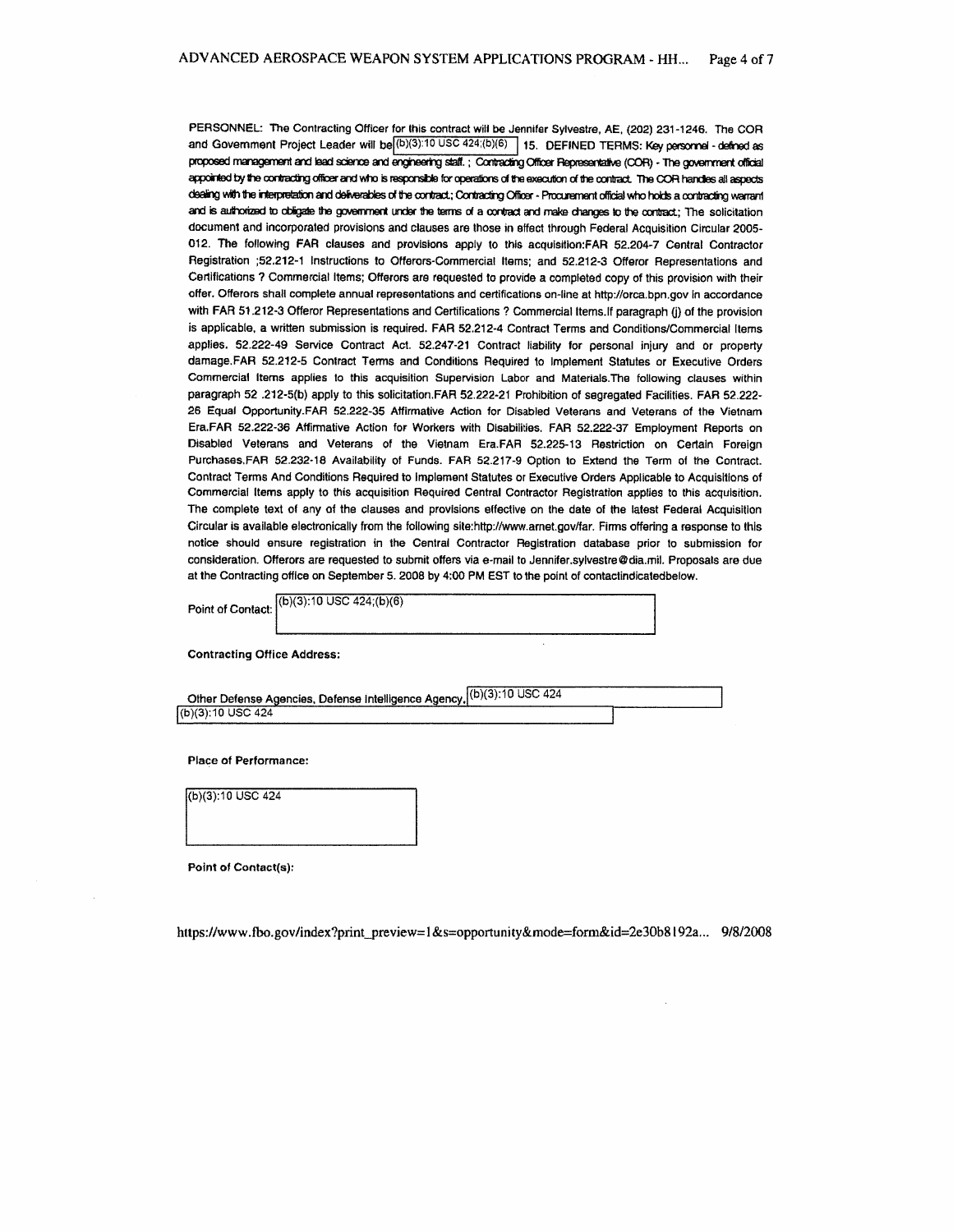PERSONNEL: The Contracting Officer for this contract will be Jennifer Sylvestre, AE, (202) 231-1246. The COR and Government Project Leader will be (b)(3):10 USC 424;(b)(6) 15. DEFINED TERMS: Key personnel - defined as proposed management and lead science and engineering staff.; Contracting Officer Representative (COR) - The government official appointed by the contracting officer and who is responsible for operations of the execution of the contract. The COR handles all aspects dealing with the interpretation and deliverables of the contract; Contracting Officer - Procurement official who holds a contracting warrant and is authorized to obligate the government under the terms of a contract and make changes to the contract; The solicitation document and incorporated provisions and clauses are those in effect through Federal Acquisition Circular 2005-012. The following FAR clauses and provisions apply to this acquisition:FAR 52.204-7 Central Contractor Registration ;52.212-1 Instructions to Offerors-Commercial Items; and 52.212-3 Offeror Representations and Certifications ? Commercial Items; Offerors are requested to provide a completed copy of this provision with their offer. Offerors shall complete annual representations and certifications on-line at http://orca.bpn.gov in accordance with FAR 51.212-3 Offeror Representations and Certifications? Commercial Items. If paragraph (i) of the provision is applicable, a written submission is required. FAR 52.212-4 Contract Terms and Conditions/Commercial Items applies. 52.222-49 Service Contract Act. 52.247-21 Contract liability for personal injury and or property damage.FAR 52.212-5 Contract Terms and Conditions Required to Implement Statutes or Executive Orders Commercial Items applies to this acquisition Supervision Labor and Materials. The following clauses within paragraph 52.222-5(b) apply to this solicitation.FAR 52.222-21 Prohibition of segregated Facilities. FAR 52.222-26 Equal Opportunity.FAR 52.222-35 Affirmative Action for Disabled Veterans and Veterans of the Vietnam Era.FAR 52.222-36 Affirmative Action for Workers with Disabilities. FAR 52.222-37 Employment Reports on Disabled Veterans and Veterans of the Vietnam Era.FAR 52.225-13 Restriction on Certain Foreign Purchases, FAR 52.232-18 Availability of Funds. FAR 52.217-9 Option to Extend the Term of the Contract. Contract Terms And Conditions Required to Implement Statutes or Executive Orders Applicable to Acquisitions of Commercial Items apply to this acquisition Required Central Contractor Registration applies to this acquisition. The complete text of any of the clauses and provisions effective on the date of the latest Federal Acquisition Circular is available electronically from the following site:http://www.arnet.gov/far. Firms offering a response to this notice should ensure registration in the Central Contractor Registration database prior to submission for consideration. Offerors are requested to submit offers via e-mail to Jennifer, sylvestre@dia.mil. Proposals are due at the Contracting office on September 5. 2008 by 4:00 PM EST to the point of contactindicatedbelow.

 $(b)(3):10$  USC  $424$ ; $(b)(6)$ Point of Contact:

**Contracting Office Address:** 

Other Defense Agencies, Defense Intelligence Agency. (b)(3):10 USC 424 (b)(3):10 USC 424

**Place of Performance:** 

(b)(3):10 USC 424

Point of Contact(s):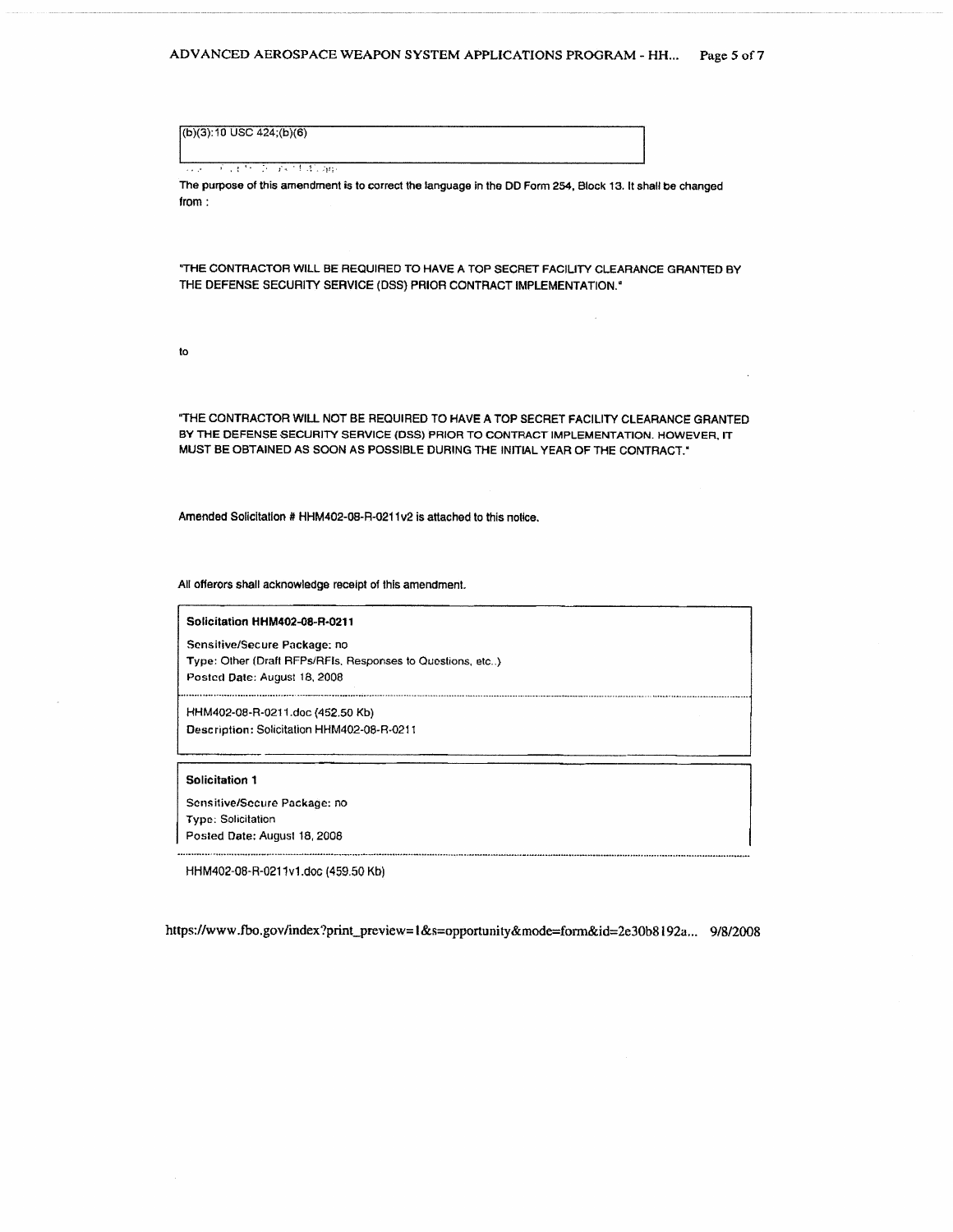$(b)(3): 10$  USC 424;(b)(6)

The contract of the part of the app

The purpose of this amendment is to correct the language in the DD Form 254, Block 13. It shall be changed from:

"THE CONTRACTOR WILL BE REQUIRED TO HAVE A TOP SECRET FACILITY CLEARANCE GRANTED BY THE DEFENSE SECURITY SERVICE (DSS) PRIOR CONTRACT IMPLEMENTATION.<sup>4</sup>

to

"THE CONTRACTOR WILL NOT BE REQUIRED TO HAVE A TOP SECRET FACILITY CLEARANCE GRANTED BY THE DEFENSE SECURITY SERVICE (DSS) PRIOR TO CONTRACT IMPLEMENTATION. HOWEVER, IT MUST BE OBTAINED AS SOON AS POSSIBLE DURING THE INITIAL YEAR OF THE CONTRACT."

Amended Solicitation # HHM402-08-R-0211v2 is attached to this notice.

All offerors shall acknowledge receipt of this amendment.

Solicitation HHM402-08-R-0211

Sensitive/Secure Package: no Type: Other (Draft RFPs/RFIs, Responses to Questions, etc..) Posted Date: August 18, 2008

HHM402-08-R-0211.doc (452.50 Kb) Description: Solicitation HHM402-08-R-0211

#### Solicitation 1

Sensitive/Secure Package: no **Type: Solicitation** Posted Date: August 18, 2008

HHM402-08-R-0211v1.doc (459.50 Kb)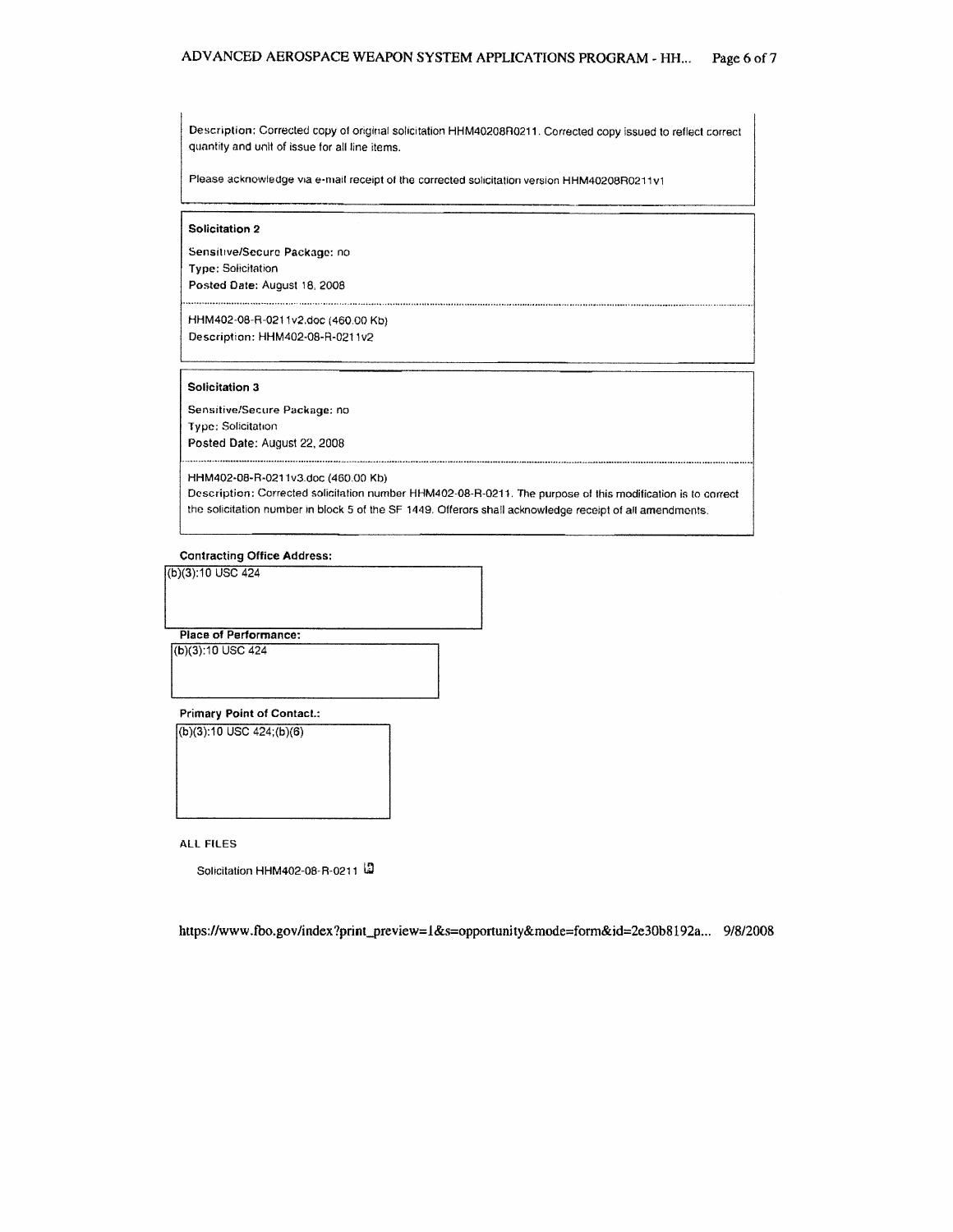Description: Corrected copy of original solicitation HHM40208R0211. Corrected copy issued to reflect correct quantity and unit of issue for all line items.

Please acknowledge via e-mail receipt of the corrected solicitation version HHM40208R0211v1

## Solicitation 2

Sensitive/Secure Package: no Type: Solicitation Posted Date: August 18, 2008

HHM402-08-R-0211v2.doc (460.00 Kb)

Description: HHM402-08-R-0211v2

## Solicitation 3

Sensitive/Secure Package: no Type: Solicitation Posted Date: August 22, 2008

HHM402-08-R-0211v3.doc (460.00 Kb)

Description: Corrected solicitation number HHM402-08-R-0211. The purpose of this modification is to correct the solicitation number in block 5 of the SF 1449. Offerors shall acknowledge receipt of all amendments,

## **Contracting Office Address:**

(b)(3):10 USC 424

(b)(3):10 USC 424

Place of Performance:

**Primary Point of Contact.:** 

 $(b)(3):10$  USC  $424; (b)(6)$ 

**ALL FILES** 

Solicitation HHM402-08-R-0211